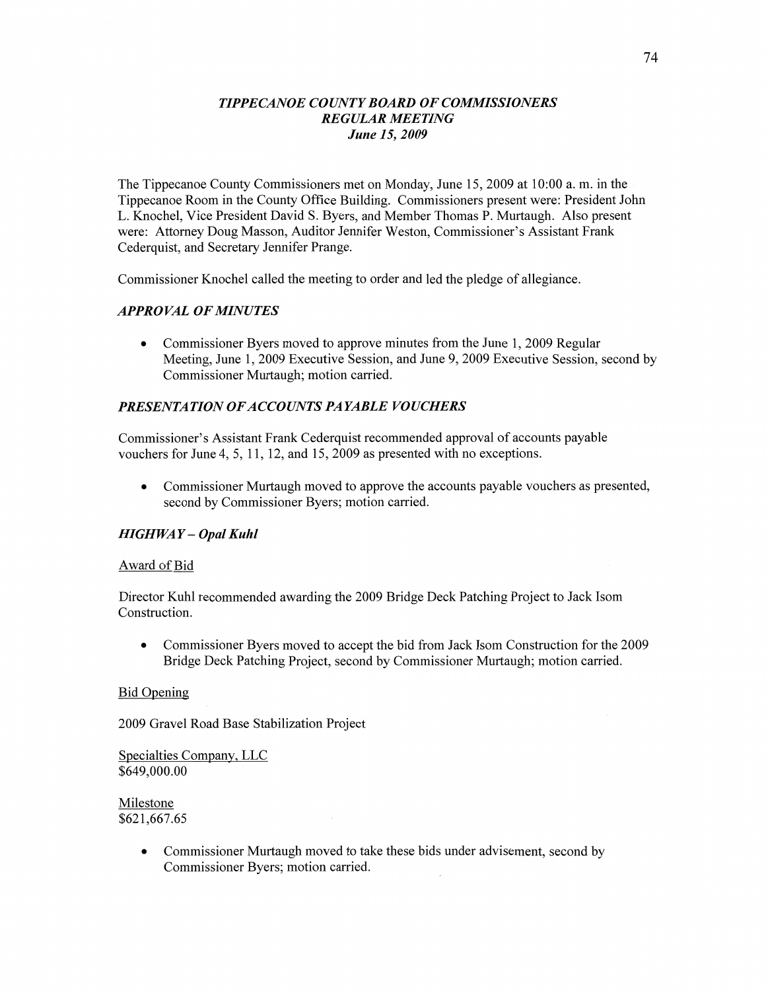#### *TIPPE CANOE COWTY BOARD* OF *COMMISSIONERS REGULAR MEETING June* 15, *2009*

The Tippecanoe County Commissioners met on Monday, June 15, 2009 at 10:00 a. m. in the Tippecanoe Room in the County Office Building. Commissioners present were: President John L. Knochel, Vice President **David** S. Byers, and Member Thomas P. Murtaugh. Also presen<sup>t</sup> were: Attorney Doug Masson, Auditor Jennifer Weston, Commissioner's Assistant Frank Cederquist, and Secretary Jennifer Prange.

Commissioner Knochel called the meeting to order and led the pledge of allegiance.

#### *APPROVAL* OF *MINUTES*

**0** Commissioner Byers moved to approve minutes from the June 1, 2009 Regular Meeting, June 1, 2009 Executive Session, and June 9, 2009 Executive Session, second by Commissioner Murtaugh; motion carried.

### **PRESENTATION OF ACCOUNTS PAYABLE VOUCHERS**

Commissioner's Assistant Frank Cederquist recommended approval of accounts payable vouchers for June 4, 5, 11, 12, and 15, 2009 as presented with no exceptions.

**0** Commissioner Murtaugh moved to approve the accounts payable vouchers as presented, second by Commissioner Byers; motion carried.

#### *HIGH* WA *Y* **—** *Opal Kuhl*

#### Award of Bid

Director Kuhl recommended awarding the 2009 Bridge Deck Patching Project to Jack Isom Construction.

**0** Commissioner Byers moved to accept the bid from Jack Isom Construction for the 2009 Bridge Deck Patching Project, second by Commissioner Murtaugh; motion carried.

#### Bid Opening

2009 Gravel Road Base Stabilization Project

Specialties Company, LLC \$649,000.00

Milestone \$62 1,667.65

> **0** Commissioner **Murtaugh moved** to **take these** bids under advisement, second by Commissioner Byers; motion carried.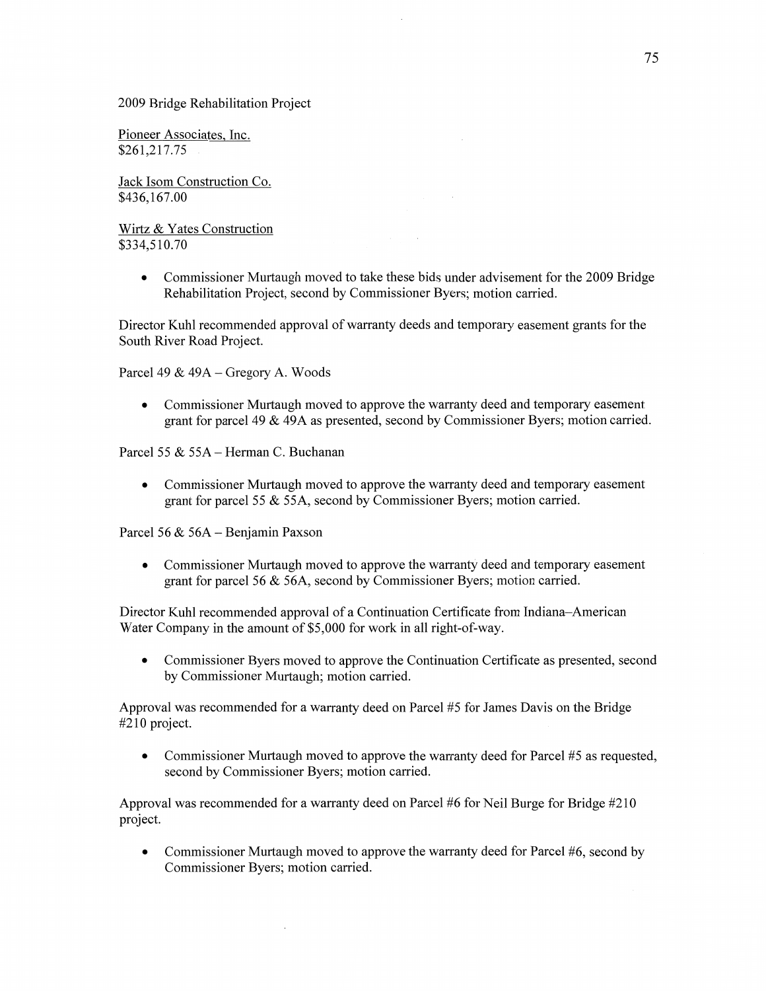2009 Bridge Rehabilitation Project

Pioneer Associates, Inc. \$261,217.75

Jack Isom Construction Co. \$436,167.00

Wirtz & Yates Construction \$334,510.70

> • Commissioner Murtaugh moved to take these bids under advisement for the 2009 Bridge Rehabilitation Project, second by Commissioner Byers; motion carried.

 $\bar{z}$ 

Director Kuhl recommended approval of warranty deeds and temporary easement grants for the South River Road Project.

Parcel 49 & 49A — Gregory A. Woods

**0** Commissioner Murtaugh moved to approve the warranty deed and temporary easement grant for parcel 49 & 49A as presented, second by Commissioner Byers; motion carried.

Parcel 55 & 55A *—* Herman C. Buchanan

**0** Commissioner Murtaugh moved to approve the warranty deed and temporary easement grant for parcel 55 & 55A, second by Commissioner Byers; motion carried.

Parcel 56 & 56A **—** Benjamin Paxson

**0** Commissioner Murtaugh moved to approve the warranty deed and temporary easement grant for parcel 56 & 56A, second by Commissioner Byers; motion carried.

Director Kuhl recommended approval of a Continuation Certificate from Indiana—American Water Company in the amount of \$5,000 for work in all right-of-way.

**0** Commissioner Byers moved to approve the Continuation Certificate as presented, second by Commissioner Murtaugh; motion carried.

Approval was recommended for a warranty deed on Parcel #5 for James Davis on the Bridge #210 project.

• Commissioner Murtaugh moved to approve the warranty deed for Parcel #5 as requested, second by Commissioner Byers; motion carried.

Approval was recommended for **a** warranty deed on Parcel #6 for Neil Burge for Bridge #210 project.

• Commissioner Murtaugh moved to approve the warranty deed for Parcel #6, second by Commissioner Byers; motion carried.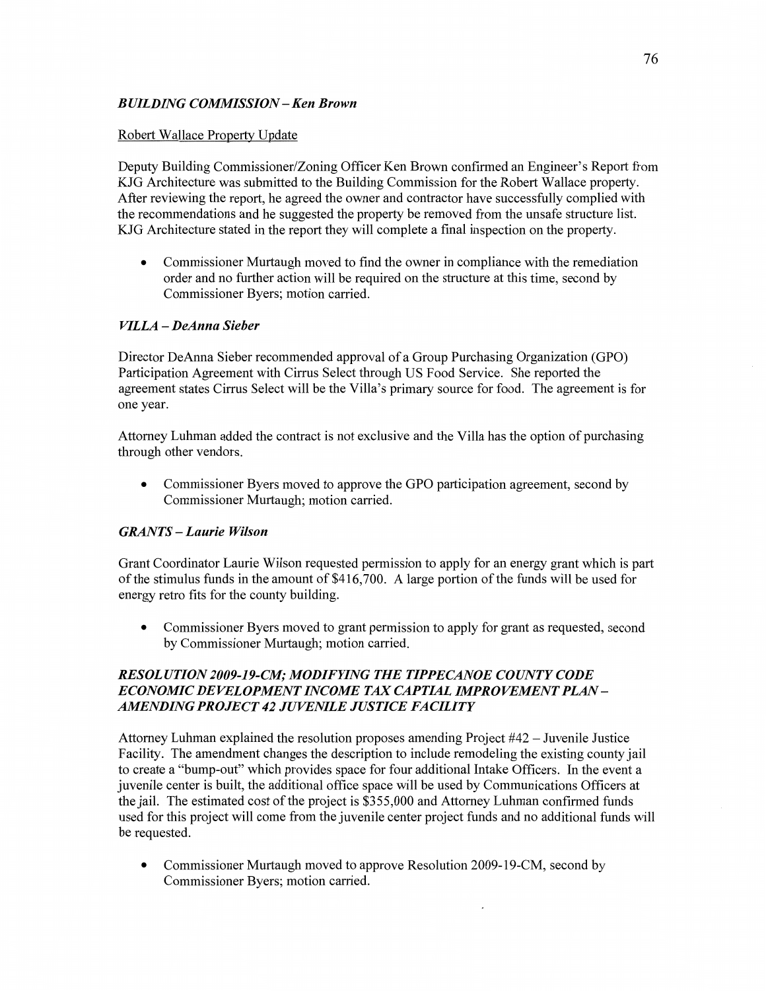## *BUILDING COMMISSION* **—** Ken *Brown*

## Robert Wallace Property Update

Deputy Building Commissioner/Zoning Officer Ken Brown confirmed an Engineer's Report from KJG Architecture was submitted to the Building Commission for the Robert Wallace property. After reviewing the report, he agreed the owner and contractor **have** successfully complied with the recommendations and he suggested the property be removed from the unsafe structure list. KJG Architecture stated in the report they will complete a final inspection on the property.

**0** Commissioner Murtaugh moved to find the owner in compliance with the remediation order and no further action will be required on the structure at this time, **second** by Commissioner Byers; motion carried.

## *VILLA* **-** *DeAnna Sieber*

Director DeAnna Sieber recommended approval of **a** Group Purchasing Organization (GPO) Participation Agreement with Cirrus Select through US Food Service. She reported the agreement states Cirrus Select will be the Villa's primary source for food. The agreement is for one year.

Attorney Luhman **added** the contract is not exclusive and the Villa has the option of purchasing **through** other vendors.

• Commissioner Byers moved to approve the GPO participation agreement, second by Commissioner Murtaugh; motion carried.

# *GRANTS* **—** *Laurie Wilson*

Grant Coordinator Laurie Wilson requested permission to apply for an energy grant which is par<sup>t</sup> of the stimulus funds in the amount of \$416,700. A large portion of the funds will be used for energy retro fits for the county building.

**0** Commissioner Byers moved to grant permission to apply for grant as requested, second by Commissioner Murtaugh; motion carried.

## *RESOL* UT ION *2009—1 9-CZW; MODIFYING* THE *T IPPECANOE COUNTY CODE*   $ECONOMIC$  *DEVELOPMENT INCOME TAX CAPTIAL IMPROVEMENT PLAN-AMENDING PROJECT* 42 *JUVENILE JUSTICE FACILITY*

Attorney **Luhman** explained the resolution proposes amending Project #42 **—** Juvenile Justice Facility. The amendment changes the description to include remodeling the existing county jail to create **a** "bump-out" which provides space for four additional Intake Officers. In the event a juvenile center is built, the additional office space will be used by Communications Officers at the jail. The estimated cost of the project is \$35 5,000 and Attorney Luhman confirmed funds used for this project will come from the juvenile center project funds and no additional funds will be requested.

*0* Commissioner Murtaugh moved to approve Resolution 2009-19-CM, second by Commissioner Byers; motion carried.

 $\bar{\bar{z}}$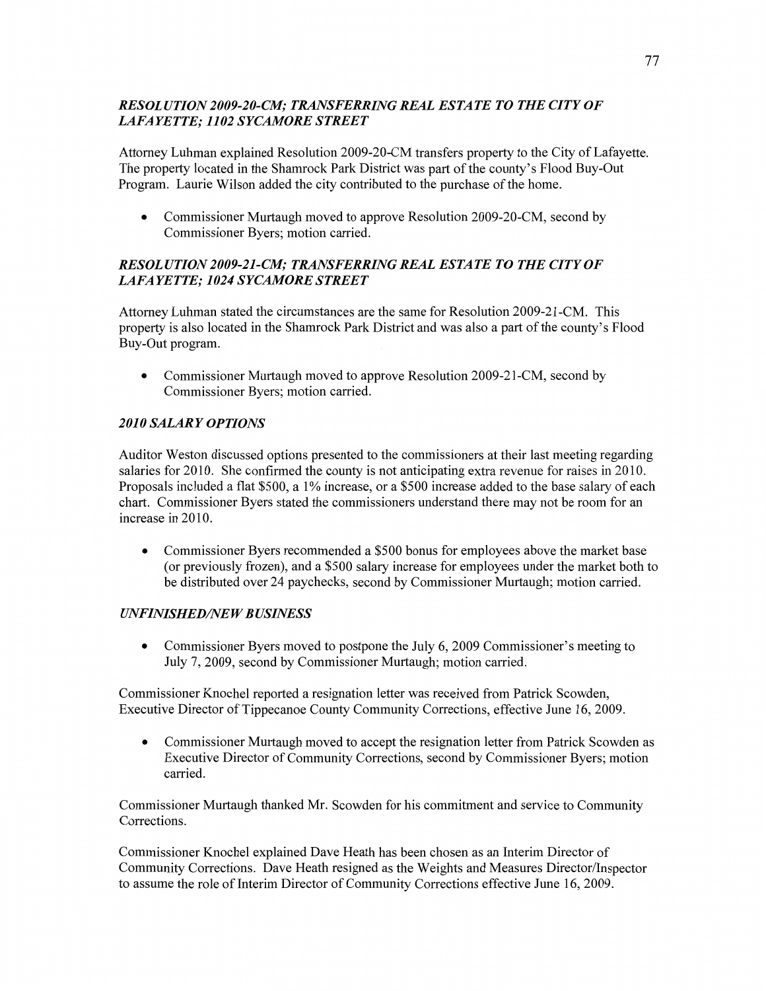## *RESOLUTION 2009-20-C1W; TRANSFERRING REAL ESTATE T 0* THE *CITY* OF *LAFAYETTE; 1102 SYCAMORE STREET*

Attorney Luhman explained Resolution 2009-20-CM transfers property to the City of Lafayette. The property located in the Shamrock **Park** District was par<sup>t</sup>of the county's Flood Buy-Out Program. Laurie Wilson added the city contributed to the purchase of the **home.** 

• Commissioner Murtaugh moved to approve Resolution 2009-20-CM, second by Commissioner Byers; motion carried.

# *RESOL UTION 2009-21-C1Il; TRANSFERRING REAL ESTATE T 0* THE *CITY* OF *LAFAYETTE; 1024 SYCAMORE STREET*

Attorney Luhman stated the circumstances are the same for Resolution 2009-21-CM. This property is also located in the Shamrock Park District and was also a part of the county's Flood Buy-Out program.

• Commissioner Murtaugh moved to approve Resolution 2009-21-CM, second by Commissioner Byers; motion carried.

# *2010 SALARY OPTIONS*

**Auditor** Weston discussed options presented to the commissioners at their last meeting regarding salaries for 2010. She confirmed the county is not anticipating extra revenue for raises in 2010. Proposals included a flat \$500, a 1% increase, or a \$500 increase added to the base salary of each **chart.** Commissioner Byers stated the commissioners understand there may not be room for an increase in 2010.

**0** Commissioner Byers recommended a \$500 bonus for employees above the market base (or previously frozen), and **a** \$500 salary increase for employees under the market both to be distributed over 24 paychecks, second by Commissioner Murtaugh; motion carried.

# *UNFINISHED/NEW BUSINESS*

• Commissioner Byers moved to postpone the July 6, 2009 Commissioner's meeting to July 7, 2009, second by Commissioner Murtaugh; **motion** carried.

Commissioner Knochel reported a resignation letter was received from Patrick Scowden, Executive Director of Tippecanoe County Community Corrections, effective June 16, 2009.

• Commissioner Murtaugh moved to accept the resignation letter from Patrick Scowden as Executive Director of Community Corrections, second by Commissioner Byers; **motion**  carried.

Commissioner Murtaugh thanked Mr. Scowden for his commitment and service to Community Corrections.

Commissioner Knochel explained Dave Heath has been chosen as an Interim Director of Community Corrections. **Dave** Heath resigned as the Weights and Measures Director/Inspector to assume the role of Interim Director of Community Corrections effective June 16, 2009.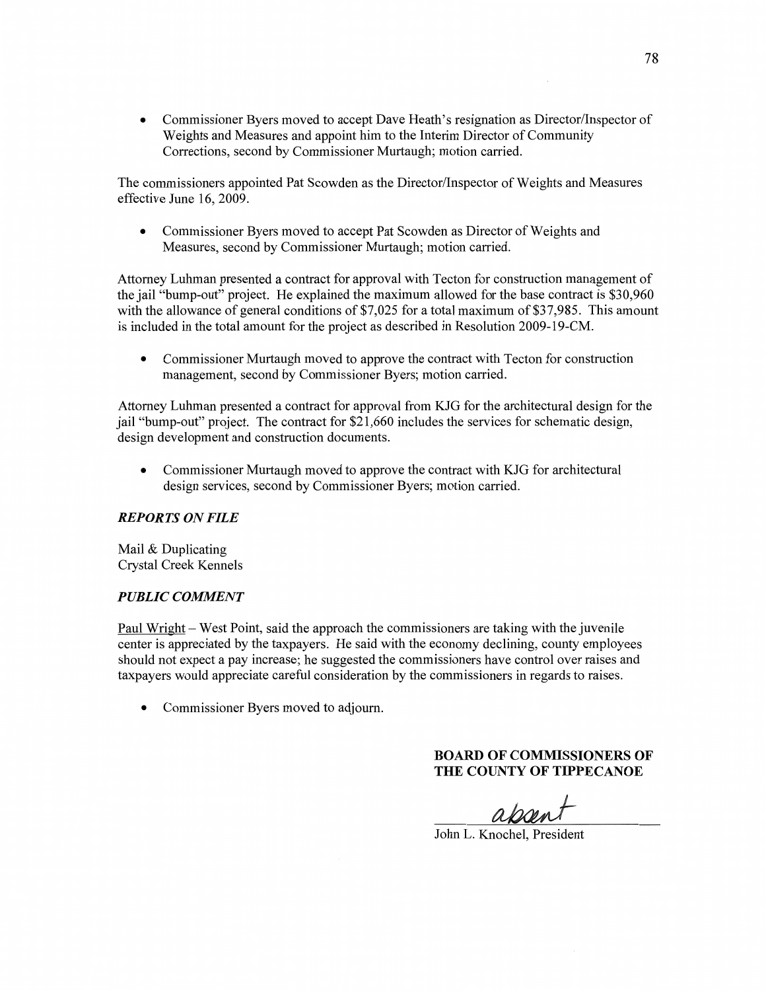**0** Commissioner Byers moved to accept Dave **Heath's** resignation as Director/Inspector of Weights and Measures and appoint him to the Interim Director of Community Corrections, second by Commissioner Murtaugh; motion carried.

The commissioners appointed Pat Scowden as the Director/Inspector of Weights and Measures effective June 16, 2009.

**0** Commissioner Byers moved to accept Pat Scowden as Director of Weights and Measures, second by Commissioner Murtaugh; motion carried.

Attorney Luhman presented a contract for approval with Tecton for construction management of the jail "bump-out" project. He explained the maximum allowed for the base **contract** is \$30,960 with the allowance of general conditions of \$7,025 for **a** total maximum of \$37,985. This amount is included in the total amount for the project as described in Resolution 2009—19-CM.

**0** Commissioner Murtaugh moved to approve the contract with Tecton for construction management, second by Commissioner Byers; motion carried.

Attorney Luhman presented a contract for approval from KJG for the architectural design for the jail "bump-out" project. The contract for \$21,660 includes the services for schematic design, design development and construction documents.

Commissioner Murtaugh moved to approve the contract with KJG for architectural design services, second by Commissioner Byers; motion carried.

### *REPORTS* ON *FILE*

Mail & Duplicating Crystal Creek Kennels

#### *PUBLIC COMMENT*

Paul Wright **—** West Point, said the approach the commissioners are taking with the juvenile center is appreciated by the taxpayers. He said with the economy declining, county employees should not expect a pay increase; he suggested the commissioners have control over raises and taxpayers would appreciate careful consideration by the commissioners in regards to raises.

**0** Commissioner Byers moved to adjourn.

### **BOARD** OF **COMMISSIONERS** OF **THE COUNTY OF TIPPECANOE**

*W* 

John L. Knochel, President